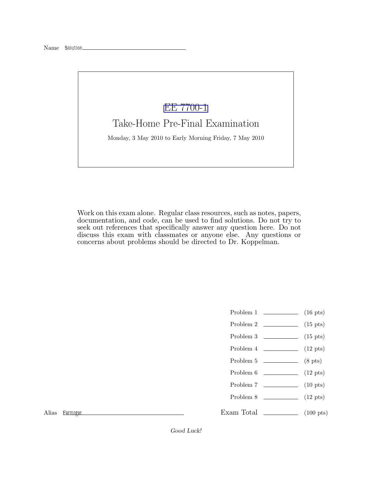## [EE 7700-1](http://www.ece.lsu.edu/gp/)

Take-Home Pre-Final Examination

Monday, 3 May 2010 to Early Morning Friday, 7 May 2010

Work on this exam alone. Regular class resources, such as notes, papers, documentation, and code, can be used to find solutions. Do not try to seek out references that specifically answer any question here. Do not discuss this exam with classmates or anyone else. Any questions or concerns about problems should be directed to Dr. Koppelman.

- Problem 1  $\qquad \qquad$  (16 pts)
- Problem 2  $\qquad \qquad$  (15 pts)
- Problem  $3 \t\t(15 \text{ pts})$
- Problem 4  $\qquad \qquad$  (12 pts)
- Problem 5 (8 pts)
- Problem 6 (12 pts)
- Problem 7 (10 pts)
- Problem  $8 \t\t(12 \text{ pts})$
- 

Alias Fermiger

Exam Total  $\qquad \qquad (100 \text{ pts})$ 

Good Luck!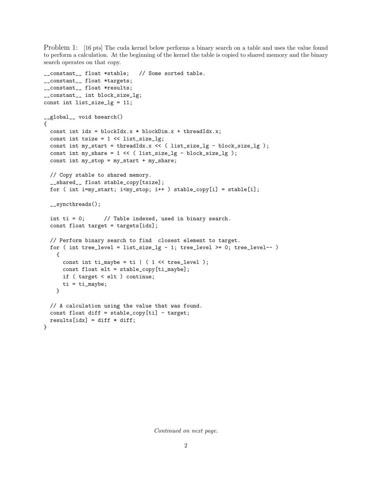Problem 1: [16 pts] The cuda kernel below performs a binary search on a table and uses the value found to perform a calculation. At the beginning of the kernel the table is copied to shared memory and the binary search operates on that copy.

```
__constant__ float *stable; // Some sorted table.
__constant__ float *targets;
__constant__ float *results;
__constant__ int block_size_lg;
const int list_size_lg = 11;
__global__ void bsearch()
{
  const int idx = blockIdx.x * blockDim.x + threadIdx.x;
  const int tsize = 1 \lt\lt list_size_lg;
  const int my_start = threadIdx.x << ( list_size_lg - block_size_lg );
  const int my_share = 1 << ( list_size_lg - block_size_lg );
  const int my_stop = my_start + my_share;
 // Copy stable to shared memory.
  __shared__ float stable_copy[tsize];
  for ( int i=my_start; i<my_stop; i++ ) stable_copy[i] = stable[i];
  __syncthreads();
  int ti = 0; // Table indexed, used in binary search.
  const float target = targets[idx];
  // Perform binary search to find closest element to target.
  for ( int tree_level = list_size_lg - 1; tree_level >= 0; tree_level-- )
   {
      const int ti_maybe = ti | ( 1 << tree_level );
      const float elt = stable_copy[ti_maybe];
     if ( target < elt ) continue;
     ti = ti_maybe;}
  // A calculation using the value that was found.
  const float diff = stable\_copy[ti] - target;results[idx] = diff * diff;}
```
Continued on next page.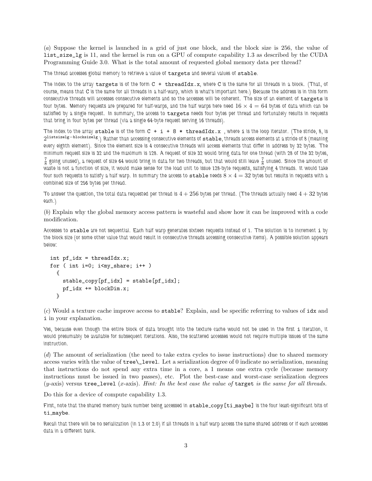(a) Suppose the kernel is launched in a grid of just one block, and the block size is 256, the value of list\_size\_lg is 11, and the kernel is run on a GPU of compute capability 1.3 as described by the CUDA Programming Guide 3.0. What is the total amount of requested global memory data per thread?

The thread accesses global memory to retrieve a value of targets and several values of stable.

The index to the array targets is of the form  $C + threadIdx.x$ , where C is the same for all threads in a block. (That, of course, means that C is the same for all threads in a half-warp, which is what's important here.) Because the address is in this form consecutive threads will accesses consecutive elements and so the accesses will be coherent. The size of an element of targets is four bytes. Memory requests are prepared for half-warps, and the half warps here need  $16 \times 4 = 64$  bytes of data which can be satisfied by a single request. In summary, the access to targets needs four bytes per thread and fortunately results in requests that bring in four bytes per thread (via a single 64-byte request serving 16 threads).

The index to the array stable is of the form  $C + i + 8 * t$  hreadIdx.x, where i is the loop iterator. (The stride, 8, is 2 listsizelg−blocksizelg.) Rather than accessing consecutive elements of stable, threads access elements at a stride of 8 (meaning every eighth element). Since the element size is 4 consecutive threads will access elements that differ in address by 32 bytes. The minimum request size is 32 and the maximum is 128. A request of size 32 would bring data for one thread (with 28 of the 32 bytes,  $\frac{7}{8}$  going unused), a request of size 64 would bring in data for two threads, but that would still leave  $\frac{7}{8}$  unused. Since the amount of waste is not a function of size, it would make sense for the load unit to issue 128-byte requests, satisfying 4 threads. It would take four such requests to satisfy a half warp. In summary the access to  ${\tt stable}$  needs  $8\times 4=32$  bytes but results in requests with a combined size of 256 bytes per thread.

To answer the question, the total data requested per thread is  $4 + 256$  bytes per thread. (The threads actually need  $4 + 32$  bytes each.)

(b) Explain why the global memory access pattern is wasteful and show how it can be improved with a code modification.

Accesses to stable are not sequential. Each half warp generates sixteen requests instead of 1. The solution is to increment i by the block size (or some other value that would result in consecutive threads accessing consecutive items). A possible solution appears below:

```
int pf\_idx = threadIdx.x;for ( int i=0; i<my_share; i++ )
 {
    stable_copy[pf_idx] = stable[pf_idx];
    pf_idx += blockDim.x;
 }
```
(c) Would a texture cache improve access to stable? Explain, and be specific referring to values of idx and i in your explanation.

Yes, because even though the entire block of data brought into the texture cache would not be used in the first i iteration, it would presumably be available for subsequent iterations. Also, the scattered accesses would not require multiple issues of the same instruction.

(d) The amount of serialization (the need to take extra cycles to issue instructions) due to shared memory access varies with the value of tree\\_level. Let a serialization degree of 0 indicate no serialization, meaning that instructions do not spend any extra time in a core, a 1 means one extra cycle (because memory instructions must be issued in two passes), etc. Plot the best-case and worst-case serialization degrees  $(y\text{-axis})$  versus tree\_level  $(x\text{-axis})$ . Hint: In the best case the value of target is the same for all threads.

Do this for a device of compute capability 1.3.

First, note that the shared memory bank number being accessed in stable copy[ti maybe] is the four least-significant bits of ti maybe.

Recall that there will be no serialization (in 1.3 or 2.0) if all threads in a half warp access the same shared address or if each accesses data in a different bank.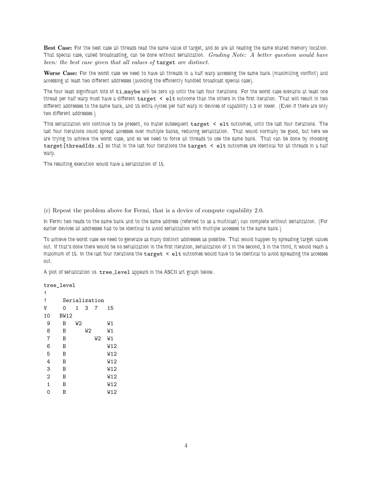Best Case: For the best case all threads read the same value of target, and so are all reading the same shared memory location. That special case, called broadcasting, can be done without serialization. Grading Note: A better question would have been: the best case given that all values of target are distinct.

Worse Case: For the worst case we need to have all threads in a half warp accessing the same bank (maximizing conflict) and accessing at least two different addresses (avoiding the efficiently handled broadcast special case).

The four least significant bits of  $t$ i maybe will be zero up until the last four iterations. For the worst case scenario at least one thread per half warp must have a different target < elt outcome than the others in the first iteration. That will result in two different addresses to the same bank, and 15 extra cycles per half warp in devices of capability 1.3 or lower. (Even if there are only two different addresses.)

This serialization will continue to be present, no mater subsequent target < elt outcomes, until the last four iterations. The last four iterations could spread accesses over multiple banks, reducing serialization. That would normally be good, but here we are trying to achieve the worst case, and so we need to force all threads to use the same bank. That can be done by choosing target[threadIdx.x] so that in the last four iterations the target < elt outcomes are identical for all threads in a half warp.

The resulting execution would have a serialization of 15.

(e) Repeat the problem above for Fermi, that is a device of compute capability 2.0.

In Fermi two reads to the same bank and to the same address (referred to as a multicast) can complete without serialization. (For earlier devices all addresses had to be identical to avoid serialization with multiple accesses to the same bank.)

To achieve the worst case we need to generate as many distinct addresses as possible. That would happen by spreading target values out. If that's done there would be no serialization in the first iteration, serialization of 1 in the second, 3 in the third, it would reach a maximum of 15. In the last four iterations the target < elt outcomes would have to be identical to avoid spreading the accesses out.

A plot of serialization vs. tree\_level appears in the ASCII art graph below.

tree\_level

| i              |               |                |                |    |     |
|----------------|---------------|----------------|----------------|----|-----|
| i              | Serialization |                |                |    |     |
| V              | 0             | 1              | 3              | 7  | 15  |
| 10             | <b>BW12</b>   |                |                |    |     |
| 9              | B             | W <sub>2</sub> |                |    | W1  |
| 8              | B             |                | W <sub>2</sub> |    | W1  |
| $\overline{7}$ | B             |                |                | W2 | W1  |
| 6              | B             |                |                |    | W12 |
| 5              | B             |                |                |    | W12 |
| 4              | B             |                |                |    | W12 |
| 3              | B             |                |                |    | W12 |
| 2              | B             |                |                |    | W12 |
| $\mathbf 1$    | B             |                |                |    | W12 |
| ი              | Β             |                |                |    | W12 |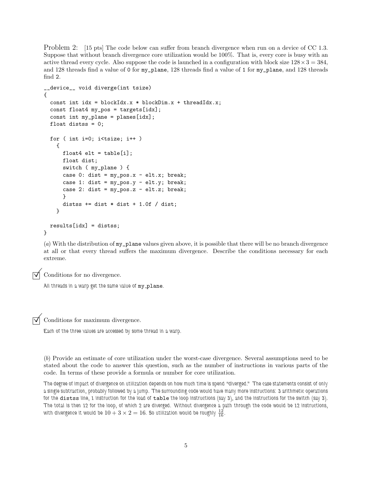Problem 2: [15 pts] The code below can suffer from branch divergence when run on a device of CC 1.3. Suppose that without branch divergence core utilization would be 100%. That is, every core is busy with an active thread every cycle. Also suppose the code is launched in a configuration with block size  $128 \times 3 = 384$ , and 128 threads find a value of 0 for my\_plane, 128 threads find a value of 1 for my\_plane, and 128 threads find 2.

```
__device__ void diverge(int tsize)
{
  const int idx = blockIdx.x * blockDim.x + threadIdx.x;
  const float4 my_pos = targets[idx];
  const int my-plane = planes[idx];
  float distss = 0;
  for ( int i=0; i<tsize; i++ )
   {
      float4 elt = table[i];float dist;
      switch ( my_plane ) {
      case 0: dist = my_pos.x - elt.x; break;
      case 1: dist = my_pos.y - elt.y; break;
      case 2: dist = my_pos.z - elt.z; break;
      }
      distss += dist * dist + 1.0f / dist;
   }
 results[idx] = distss;
}
```
(a) With the distribution of my\_plane values given above, it is possible that there will be no branch divergence at all or that every thread suffers the maximum divergence. Describe the conditions necessary for each extreme.



Conditions for no divergence.

All threads in a warp get the same value of my\_plane.

 $\triangledown$  Conditions for maximum divergence.

Each of the three values are accessed by some thread in a warp.

(b) Provide an estimate of core utilization under the worst-case divergence. Several assumptions need to be stated about the code to answer this question, such as the number of instructions in various parts of the code. In terms of these provide a formula or number for core utilization.

The degree of impact of divergence on utilization depends on how much time is spend "diverged." The case statements consist of only a single subtraction, probably followed by a jump. The surrounding code would have many more instructions: 3 arithmetic operations for the distss line, 1 instruction for the load of table the loop instructions (say 3), and the instructions for the switch (say 3). The total is then 12 for the loop, of which 2 are diverged. Without divergence a path through the code would be 12 instructions, with divergence it would be  $10+3\times2=16.$  So utilization would be roughly  $\frac{12}{16}.$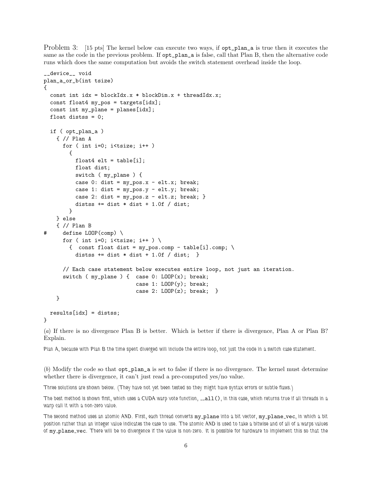Problem 3: [15 pts] The kernel below can execute two ways, if opt\_plan\_a is true then it executes the same as the code in the previous problem. If opt\_plan\_a is false, call that Plan B, then the alternative code runs which does the same computation but avoids the switch statement overhead inside the loop.

```
__device__ void
plan_a_or_b(int tsize)
{
  const int idx = blockIdx.x * blockDim.x + threadIdx.x;
  const float4 my_pos = targets[idx];
  const int my_plane = planes[idx];
  float distss = 0;
  if ( opt_plan_a )
   { // Plan A
      for ( int i=0; i<tsize; i++ )
        {
          float4 elt = table[i];float dist;
         switch ( my_plane ) {
          case 0: dist = my_pos.x - elt.x; break;
          case 1: dist = my_pos.y - elt.y; break;
          case 2: dist = my_pos.z - elt.z; break; }
          distss += dist * dist + 1.0f / dist;
        }
   } else
    { // Plan B
# define LOOP(comp) \
      for ( int i=0; i<tsize; i++ ) \setminus{ const float dist = my_pos.comp - table[i].comp; \
          distss += dist * dist + 1.0f / dist; }
      // Each case statement below executes entire loop, not just an iteration.
      switch (my_1plane ) { case 0: LODP(x); break;
                             case 1: L00P(y); break;
                             case 2: LOOP(z); break; }
   }
 results[idx] = distss;
```
## }

(a) If there is no divergence Plan B is better. Which is better if there is divergence, Plan A or Plan B? Explain.

Plan A, because with Plan B the time spent diverged will include the entire loop, not just the code in a switch case statement.

(b) Modify the code so that opt\_plan\_a is set to false if there is no divergence. The kernel must determine whether there is divergence, it can't just read a pre-computed yes/no value.

Three solutions are shown below. (They have not yet been tested so they might have syntax errors or subtle flaws.)

The best method is shown first, which uses a CUDA warp vote function, \_\_all(), in this case, which returns true if all threads in a warp call it with a non-zero value.

The second method uses an atomic AND. First, each thread converts my\_plane into a bit vector, my\_plane\_vec, in which a bit position rather than an integer value indicates the case to use. The atomic AND is used to take a bitwise and of all of a warps values of my plane vec. There will be no divergence if the value is non-zero. It is possible for hardware to implement this so that the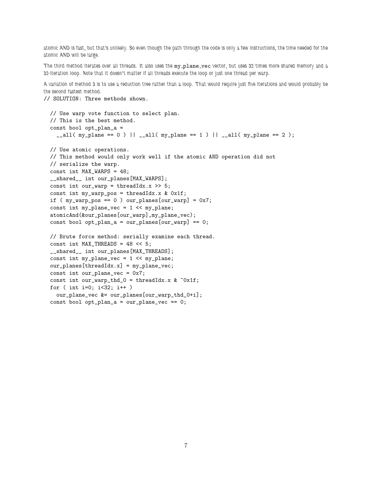atomic AND is fast, but that's unlikely. So even though the path through the code is only a few instructions, the time needed for the atomic AND will be large.

The third method iterates over all threads. It also uses the my\_plane\_vec vector, but uses 32 times more shared memory and a 32-iteration loop. Note that it doesn't matter if all threads execute the loop or just one thread per warp.

A variation of method 3 is to use a reduction tree rather than a loop. That would require just five iterations and would probably be the second fastest method.

// SOLUTION: Three methods shown.

```
// Use warp vote function to select plan.
// This is the best method.
const bool opt_plan_a =
  \_all( my_plane == 0 ) || \_all( my_plane == 1 ) || \_all( my_plane == 2 );
// Use atomic operations.
// This method would only work well if the atomic AND operation did not
// serialize the warp.
const int MAX_WARPS = 48;
__shared__ int our_planes[MAX_WARPS];
const int our_warp = threadIdx.x \gg 5;
const int my_warp_pos = threadIdx.x & 0x1f;
if (my\_warp\_pos == 0) our\_planes[our\_warp] = 0x7;
const int my_plane_vec = 1 << my_plane;
atomicAnd(&our_planes[our_warp],my_plane_vec);
const bool opt\_plan_a = our\_planes[our\_warp] == 0;// Brute force method: serially examine each thread.
const int MAX_THREADS = 48 << 5;
__shared__ int our_planes[MAX_THREADS];
const int my_plane_vec = 1 << my_plane;
our_planes[threadIdx.x] = my_plane_vec;
const int our_plane_vec = 0x7;
const int our_warp_thd_0 = threadIdx.x & ~0x1f;
for ( int i=0; i<32; i++ )
  our_plane_vec &= our_planes[our_warp_thd_0+i];
const bool opt\_plan_a = our\_plane\_vec == 0;
```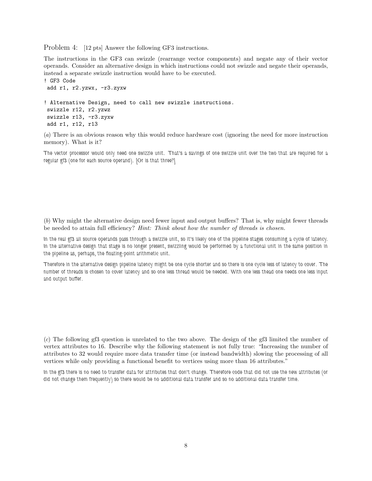Problem 4: [12 pts] Answer the following GF3 instructions.

The instructions in the GF3 can swizzle (rearrange vector components) and negate any of their vector operands. Consider an alternative design in which instructions could not swizzle and negate their operands, instead a separate swizzle instruction would have to be executed.

```
! GF3 Code
add r1, r2.yzwx, -r3.zyxw
! Alternative Design, need to call new swizzle instructions.
swizzle r12, r2.yzwz
swizzle r13, -r3.zyxw
add r1, r12, r13
```
(a) There is an obvious reason why this would reduce hardware cost (ignoring the need for more instruction memory). What is it?

The vector processor would only need one swizzle unit. That's a savings of one swizzle unit over the two that are required for a regular gf3 (one for each source operand). [Or is that three?]

(b) Why might the alternative design need fewer input and output buffers? That is, why might fewer threads be needed to attain full efficiency? *Hint: Think about how the number of threads is chosen.* 

In the real gf3 all source operands pass through a swizzle unit, so it's likely one of the pipeline stages consuming a cycle of latency. In the alternative design that stage is no longer present, swizzling would be performed by a functional unit in the same position in the pipeline as, perhaps, the floating-point arithmetic unit.

Therefore in the alternative design pipeline latency might be one cycle shorter and so there is one cycle less of latency to cover. The number of threads is chosen to cover latency and so one less thread would be needed. With one less thead one needs one less input and output buffer.

(c) The following gf3 question is unrelated to the two above. The design of the gf3 limited the number of vertex attributes to 16. Describe why the following statement is not fully true: "Increasing the number of attributes to 32 would require more data transfer time (or instead bandwidth) slowing the processing of all vertices while only providing a functional benefit to vertices using more than 16 attributes."

In the gf3 there is no need to transfer data for attributes that don't change. Therefore code that did not use the new attributes (or did not change them frequently) so there would be no additional data transfer and so no additional data transfer time.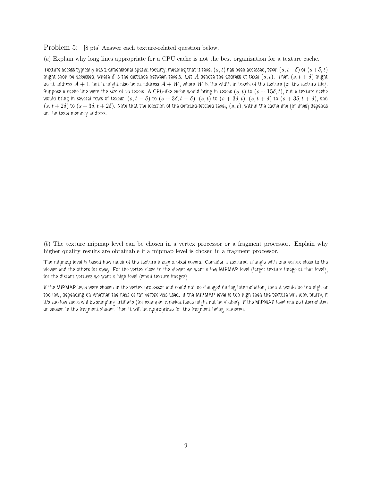Problem 5: [8 pts] Answer each texture-related question below.

(a) Explain why long lines appropriate for a CPU cache is not the best organization for a texture cache.

Texture access typically has 2-dimensional spatial locality, meaning that if texel  $(s, t)$  has been accessed, texel  $(s, t + \delta)$  or  $(s + \delta, t)$ might soon be accessed, where  $\delta$  is the distance between texels. Let A denote the address of texel  $(s, t)$ . Then  $(s, t + \delta)$  might be at address  $A + 1$ , but it might also be at address  $A + W$ , where W is the width in texels of the texture (or the texture tile). Suppose a cache line were the size of 16 texels. A CPU-like cache would bring in texels  $(s, t)$  to  $(s + 15\delta, t)$ , but a texture cache would bring in several rows of texels:  $(s, t - \delta)$  to  $(s + 3\delta, t - \delta)$ ,  $(s, t)$  to  $(s + 3\delta, t)$ ,  $(s, t + \delta)$  to  $(s + 3\delta, t + \delta)$ , and  $(s, t+2\delta)$  to  $(s+3\delta, t+2\delta)$ . Note that the location of the demand-fetched texel,  $(s, t)$ , within the cache line (or lines) depends on the texel memory address.

(b) The texture mipmap level can be chosen in a vertex processor or a fragment processor. Explain why higher quality results are obtainable if a mipmap level is chosen in a fragment processor.

The mipmap level is based how much of the texture image a pixel covers. Consider a textured triangle with one vertex close to the viewer and the others far away. For the vertex close to the viewer we want a low MIPMAP level (larger texture image at that level), for the distant vertices we want a high level (small texture images).

If the MIPMAP level were chosen in the vertex processor and could not be changed during interpolation, then it would be too high or too low, depending on whether the near or far vertex was used. If the MIPMAP level is too high then the texture will look blurry, if it's too low there will be sampling artifacts (for example, a picket fence might not be visible). If the MIPMAP level can be interpolated or chosen in the fragment shader, then it will be appropriate for the fragment being rendered.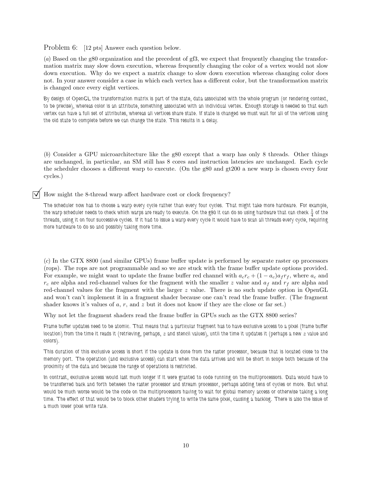Problem 6: [12 pts] Answer each question below.

(a) Based on the g80 organization and the precedent of gf3, we expect that frequently changing the transformation matrix may slow down execution, whereas frequently changing the color of a vertex would not slow down execution. Why do we expect a matrix change to slow down execution whereas changing color does not. In your answer consider a case in which each vertex has a different color, but the transformation matrix is changed once every eight vertices.

By design of OpenGL the transformation matrix is part of the state, data associated with the whole program (or rendering context, to be precise), whereas color is an attribute, something associated with an individual vertex. Enough storage is needed so that each vertex can have a full set of attributes, whereas all vertices share state. If state is changed we must wait for all of the vertices using the old state to complete before we can change the state. This results in a delay.

(b) Consider a GPU microarchitecture like the g80 except that a warp has only 8 threads. Other things are unchanged, in particular, an SM still has 8 cores and instruction latencies are unchanged. Each cycle the scheduler chooses a different warp to execute. (On the g80 and gt200 a new warp is chosen every four cycles.)

How might the 8-thread warp affect hardware cost or clock frequency?

The scheduler now has to choose a warp every cycle rather than every four cycles. That might take more hardware. For example, the warp scheduler needs to check which warps are ready to execute. On the g80 it can do so using hardware that can check  $\frac14$  of the threads, using it on four successive cycles. If it had to issue a warp every cycle it would have to scan all threads every cycle, requiring more hardware to do so and possibly taking more time.

(c) In the GTX 8800 (and similar GPUs) frame buffer update is performed by separate raster op processors (rops). The rops are not programmable and so we are stuck with the frame buffer update options provided. For example, we might want to update the frame buffer red channel with  $a_c r_c + (1 - a_c)a_f r_f$ , where  $a_c$  and  $r_c$  are alpha and red-channel values for the fragment with the smaller z value and  $a_f$  and  $r_f$  are alpha and red-channel values for the fragment with the larger z value. There is no such update option in OpenGL and won't can't implement it in a fragment shader because one can't read the frame buffer. (The fragment shader knows it's values of  $a, r$ , and  $z$  but it does not know if they are the close or far set.)

Why not let the fragment shaders read the frame buffer in GPUs such as the GTX 8800 series?

Frame buffer updates need to be atomic. That means that a particular fragment has to have exclusive access to a pixel (frame buffer location) from the time it reads it (retrieving, perhaps,  $z$  and stencil values), until the time it updates it (perhaps a new  $z$  value and colors).

This duration of this exclusive access is short if the update is done from the raster processor, because that is located close to the memory port. The operation (and exclusive access) can start when the data arrives and will be short in scope both because of the proximity of the data and because the range of operations is restricted.

In contrast, exclusive access would last much longer if it were granted to code running on the multiprocessors. Data would have to be transferred back and forth between the raster processor and stream processor, perhaps adding tens of cycles or more. But what would be much worse would be the code on the multiprocessors having to wait for global memory access or otherwise taking a long time. The effect of that would be to block other shaders trying to write the same pixel, causing a backlog. There is also the issue of a much lower pixel write rate.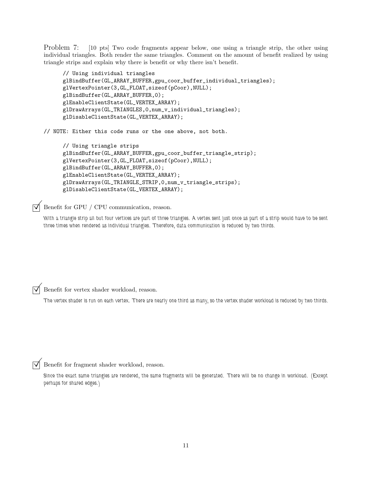Problem 7: [10 pts] Two code fragments appear below, one using a triangle strip, the other using individual triangles. Both render the same triangles. Comment on the amount of benefit realized by using triangle strips and explain why there is benefit or why there isn't benefit.

```
// Using individual triangles
glBindBuffer(GL_ARRAY_BUFFER,gpu_coor_buffer_individual_triangles);
glVertexPointer(3,GL_FLOAT,sizeof(pCoor),NULL);
glBindBuffer(GL_ARRAY_BUFFER,0);
glEnableClientState(GL_VERTEX_ARRAY);
glDrawArrays(GL_TRIANGLES,0,num_v_individual_triangles);
glDisableClientState(GL_VERTEX_ARRAY);
```
// NOTE: Either this code runs or the one above, not both.

```
// Using triangle strips
glBindBuffer(GL_ARRAY_BUFFER,gpu_coor_buffer_triangle_strip);
glVertexPointer(3,GL_FLOAT,sizeof(pCoor),NULL);
glBindBuffer(GL_ARRAY_BUFFER,0);
glEnableClientState(GL_VERTEX_ARRAY);
glDrawArrays(GL_TRIANGLE_STRIP,0,num_v_triangle_strips);
glDisableClientState(GL_VERTEX_ARRAY);
```
 $\overrightarrow{\mathsf{q}}$  Benefit for GPU / CPU communication, reason.

With a triangle strip all but four vertices are part of three triangles. A vertex sent just once as part of a strip would have to be sent three times when rendered as individual triangles. Therefore, data communication is reduced by two thirds.

 $\triangledown$  Benefit for vertex shader workload, reason.

The vertex shader is run on each vertex. There are nearly one third as many, so the vertex shader workload is reduced by two thirds.

Benefit for fragment shader workload, reason.

Since the exact same triangles are rendered, the same fragments will be generated. There will be no change in workload. (Except perhaps for shared edges.)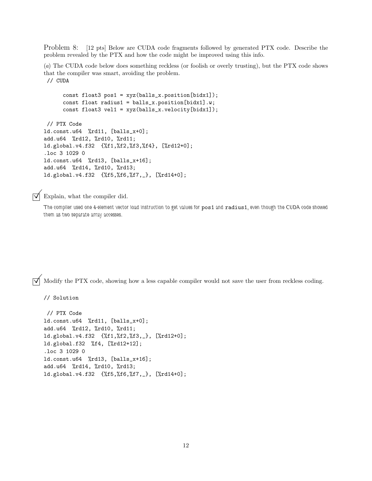Problem 8: [12 pts] Below are CUDA code fragments followed by generated PTX code. Describe the problem revealed by the PTX and how the code might be improved using this info.

(a) The CUDA code below does something reckless (or foolish or overly trusting), but the PTX code shows that the compiler was smart, avoiding the problem. // CUDA

const float3 pos1 = xyz(balls\_x.position[bidx1]); const float radius1 = balls\_x.position[bidx1].w; const float3 vel1 = xyz(balls\_x.velocity[bidx1]); // PTX Code ld.const.u64 %rd11, [balls\_x+0]; add.u64 %rd12, %rd10, %rd11; ld.global.v4.f32 {%f1,%f2,%f3,%f4}, [%rd12+0]; .loc 3 1029 0

```
ld.const.u64 %rd13, [balls_x+16];
add.u64 %rd14, %rd10, %rd13;
ld.global.v4.f32 {%f5,%f6,%f7,_}, [%rd14+0];
```
 $\triangledown$  Explain, what the compiler did.

// Solution

The compiler used one 4-element vector load instruction to get values for pos1 and radius1, even though the CUDA code showed them as two separate array accesses.

 $\overrightarrow{v}$  Modify the PTX code, showing how a less capable compiler would not save the user from reckless coding.

```
// PTX Code
ld.const.u64 %rd11, [balls_x+0];
add.u64 %rd12, %rd10, %rd11;
ld.global.v4.f32 {%f1,%f2,%f3,_}, [%rd12+0];
ld.global.f32 %f4, [%rd12+12];
.loc 3 1029 0
ld.const.u64 %rd13, [balls_x+16];
add.u64 %rd14, %rd10, %rd13;
ld.global.v4.f32 {%f5,%f6,%f7,_}, [%rd14+0];
```